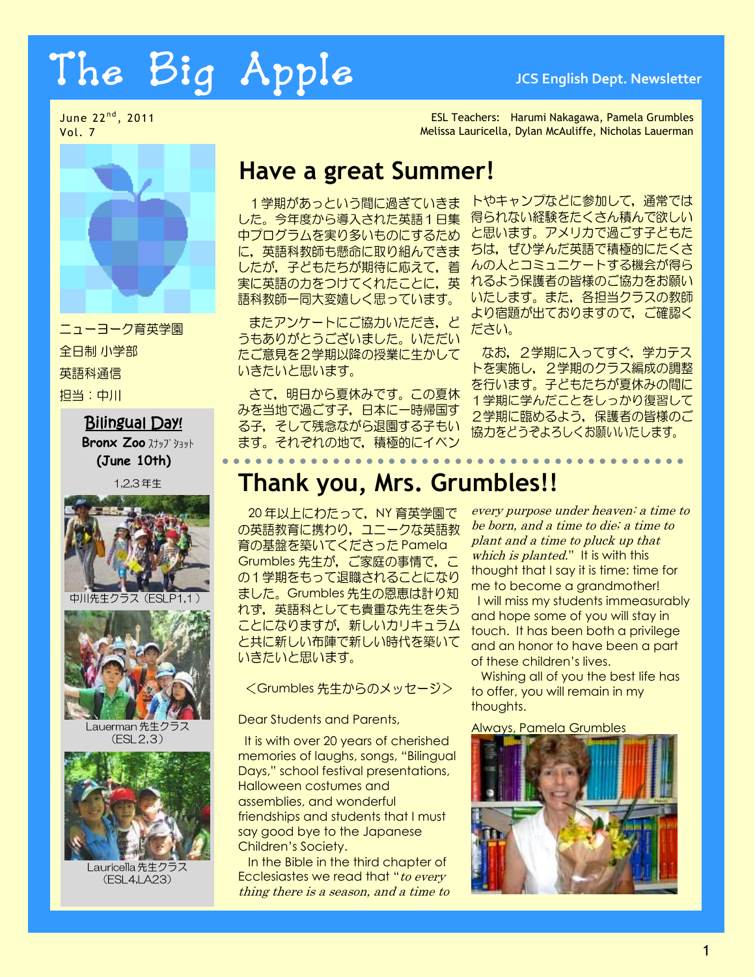# The Big Apple **JCS English Dept. Newsletter**

June 22<sup>nd</sup>, 2011 Vol. 7



ニューヨーク育英学園 全日制 小学部 英語科通信 担当:中川

#### Bilingual Day!

**Bronx Zoo** スナップ ショット **(June 10th)**

1,2,3年生



中川先生クラス (ESLP1,1



Lauerman 先生クラス  $(ESL2,3)$ 



Lauricella 先生クラス (ESL4, LA23)

ESL Teachers: Harumi Nakagawa, Pamela Grumbles Melissa Lauricella, Dylan McAuliffe, Nicholas Lauerman

## **Have a great Summer!**

1学期があっという間に過ぎていきま した。今年度から導入された英語1日集 中プログラムを実り多いものにするため に、英語科教師も懸命に取り組んできま したが、子どもたちが期待に応えて、着 実に英語の力をつけてくれたことに、英 語科教師一同大変嬉しく思っています。

またアンケートにご協力いただき、ど うもありがとうございました。いただい たご意見を2学期以降の授業に生かして いきたいと思います。

さて、明日から夏休みです。この夏休 みを当地で過ごす子、日本に一時帰国す る子、そして残念ながら退園する子もい ます。それぞれの地で、積極的にイベン

トやキャンプなどに参加して、通常では 得られない経験をたくさん積んで欲しい と思います。アメリカで過ごす子どもた ちは、ぜひ学んだ英語で積極的にたくさ んの人とコミュニケートする機会が得ら れるよう保護者の皆様のご協力をお願い いたします。また、各担当クラスの教師 より宿題が出ておりますので、ご確認く ださい。

なお、2学期に入ってすぐ、学力テス トを実施し、2学期のクラス編成の調整 を行います。子どもたちが夏休みの間に 1学期に学んだことをしっかり復習して 2学期に臨めるよう、保護者の皆様のご 協力をどうぞよろしくお願いいたします。

. . . . . . . . . . . . . .

# **Thank you, Mrs. Grumbles!!**

20年以上にわたって、NY 育英学園で の英語教育に携わり、ユニークな英語教 育の基盤を築いてくださった Pamela Grumbles 先生が、ご家庭の事情で、こ の1学期をもって退職されることになり ました。Grumbles 先生の恩恵は計り知 れず、英語科としても貴重な先生を失う ことになりますが、新しいカリキュラム と共に新しい布陣で新しい時代を築いて いきたいと思います。

<Grumbles 先生からのメッセージ>

Dear Students and Parents,

It is with over 20 years of cherished memories of laughs, songs, "Bilingual Days," school festival presentations, Halloween costumes and assemblies, and wonderful friendships and students that I must say good bye to the Japanese Children's Society.

In the Bible in the third chapter of Ecclesiastes we read that "to every thing there is a season, and a time to every purpose under heaven: a time to be born, and a time to die; a time to plant and a time to pluck up that which is planted." It is with this thought that I say it is time: time for me to become a grandmother! I will miss my students immeasurably and hope some of you will stay in touch. It has been both a privilege and an honor to have been a part of these children's lives.

Wishing all of you the best life has to offer, you will remain in my thoughts.

Always, Pamela Grumbles

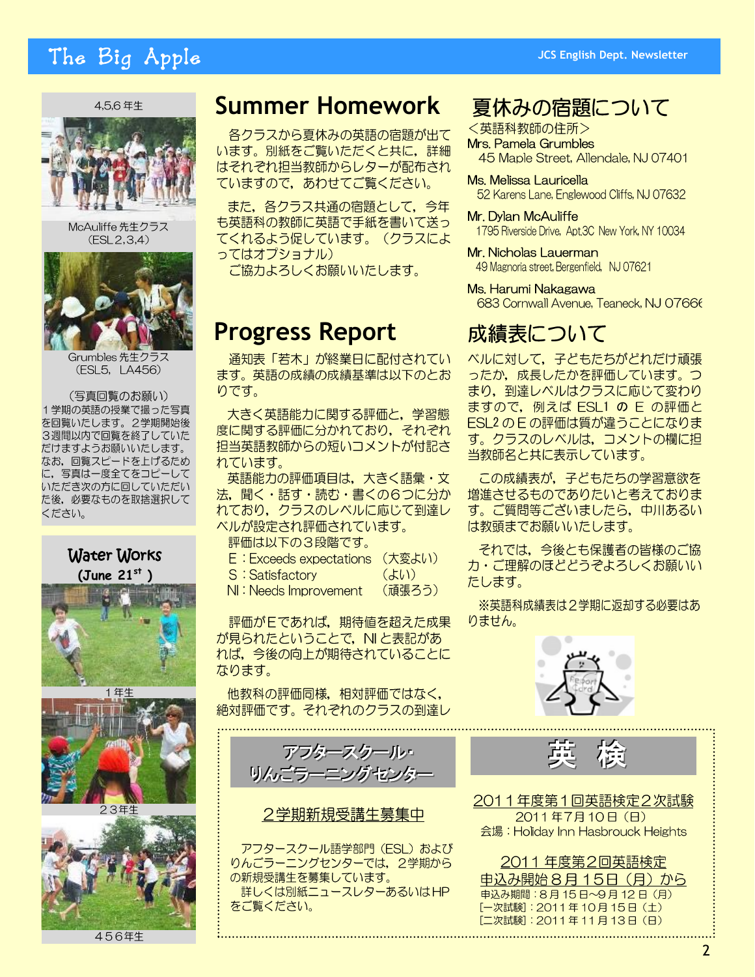# The Big Apple

#### 4.5.6年生



McAuliffe先生クラス  $(ESL2, 3, 4)$ 



Grumbles 先生クラス (ESL5, LA456)

(写真回覧のお願い) 1学期の英語の授業で撮った写真 を回覧いたします。2学期開始後 3週間以内で回覧を終了していた だけますようお願いいたします。 なお、回覧スピードを上げるため に、写真は一度全てをコピーして いただき次の方に回していただい た後、必要なものを取捨選択して ください。



456年生

## **Summer Homework**

各クラスから夏休みの英語の宿題が出て います。別紙をご覧いただくと共に、詳細 はそれぞれ担当教師からレターが配布され ていますので、あわせてご覧ください。

また、各クラス共通の宿題として、今年 も英語科の教師に英語で手紙を書いて送っ てくれるよう促しています。(クラスによ ってはオプショナル)

ご協力よろしくお願いいたします。

# **Progress Report**

通知表「若木」が終業日に配付されてい ます。英語の成績の成績基準は以下のとお りです。

大きく英語能力に関する評価と、学習態 度に関する評価に分かれており、それぞれ 担当英語教師からの短いコメントが付記さ れています。

英語能力の評価項目は、大きく語彙・文 法, 聞く・話す・読む・書くの6つに分か れており、クラスのレベルに応じて到達レ ベルが設定され評価されています。

- 評価は以下の3段階です。
- E : Exceeds expectations (大変よい) (よい)
- S: Satisfactory
- (頑張ろう) NI: Needs Improvement

評価がEであれば、期待値を超えた成果 が見られたということで、NIと表記があ れば、今後の向上が期待されていることに なります。

他教科の評価同様,相対評価ではなく, 絶対評価です。それぞれのクラスの到達レ

アフタースクール リんごラーニングセンター

2学期新規受講生募集中

アフタースクール語学部門 (ESL) および りんごラーニングセンターでは、2学期から の新規受講生を募集しています。 詳しくは別紙ニュースレターあるいはHP をご覧ください。

### 夏休みの宿題について

<英語科教師の住所> Mrs. Pamela Grumbles 45 Maple Street, Allendale, NJ 07401

Ms. Melissa Lauricella 52 Karens Lane, Englewood Cliffs, NJ 07632

Mr. Dylan McAuliffe 1795 Riverside Drive, Apt.3C New York, NY 10034

Mr. Nicholas Lauerman 49 Magnoria street, Bergenfield, NJ 07621

Ms. Harumi Nakagawa 683 Cornwall Avenue, Teaneck, NJ 07666

## 成績表について

ベルに対して、子どもたちがどれだけ頑張 ったか、成長したかを評価しています。つ まり、到達レベルはクラスに応じて変わり ますので, 例えば ESL1 の E の評価と ESL2 のEの評価は質が違うことになりま す。クラスのレベルは、コメントの欄に担 当教師名と共に表示しています。

この成績表が、子どもたちの学習意欲を 増進させるものでありたいと考えておりま す。ご質問等ございましたら、中川あるい は教頭までお願いいたします。

それでは、今後とも保護者の皆様のご協 カ・ご理解のほどどうぞよろしくお願いい たします。

※英語科成績表は2学期に返却する必要はあ りません。



2011年度第1回英語検定2次試験 2011年7月10日 (日) 会場: Holiday Inn Hasbrouck Heights

2011年度第2回英語検定 申込み開始8月15日 (月) から 申込み期間: 8月15日~9月12日 (月) [一次試験]: 2011年10月15日 (土) [二次試験]: 2011年11月13日 (日)